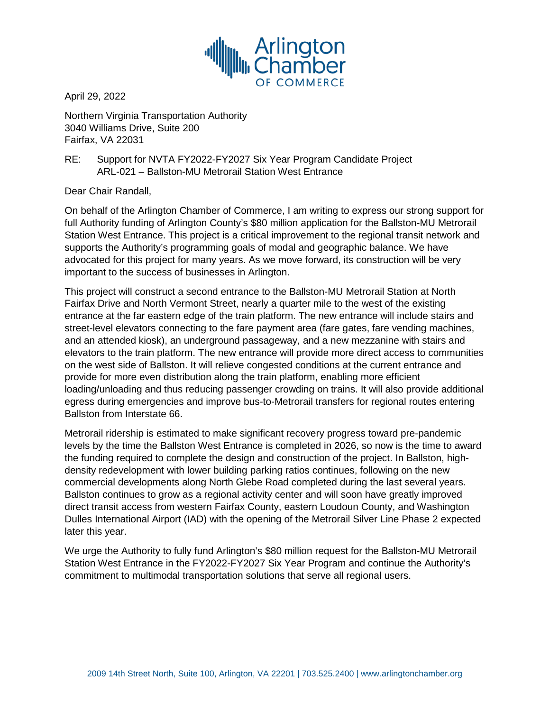

April 29, 2022

Northern Virginia Transportation Authority 3040 Williams Drive, Suite 200 Fairfax, VA 22031

RE: Support for NVTA FY2022-FY2027 Six Year Program Candidate Project ARL-021 – Ballston-MU Metrorail Station West Entrance

Dear Chair Randall,

On behalf of the Arlington Chamber of Commerce, I am writing to express our strong support for full Authority funding of Arlington County's \$80 million application for the Ballston-MU Metrorail Station West Entrance. This project is a critical improvement to the regional transit network and supports the Authority's programming goals of modal and geographic balance. We have advocated for this project for many years. As we move forward, its construction will be very important to the success of businesses in Arlington.

This project will construct a second entrance to the Ballston-MU Metrorail Station at North Fairfax Drive and North Vermont Street, nearly a quarter mile to the west of the existing entrance at the far eastern edge of the train platform. The new entrance will include stairs and street-level elevators connecting to the fare payment area (fare gates, fare vending machines, and an attended kiosk), an underground passageway, and a new mezzanine with stairs and elevators to the train platform. The new entrance will provide more direct access to communities on the west side of Ballston. It will relieve congested conditions at the current entrance and provide for more even distribution along the train platform, enabling more efficient loading/unloading and thus reducing passenger crowding on trains. It will also provide additional egress during emergencies and improve bus-to-Metrorail transfers for regional routes entering Ballston from Interstate 66.

Metrorail ridership is estimated to make significant recovery progress toward pre-pandemic levels by the time the Ballston West Entrance is completed in 2026, so now is the time to award the funding required to complete the design and construction of the project. In Ballston, highdensity redevelopment with lower building parking ratios continues, following on the new commercial developments along North Glebe Road completed during the last several years. Ballston continues to grow as a regional activity center and will soon have greatly improved direct transit access from western Fairfax County, eastern Loudoun County, and Washington Dulles International Airport (IAD) with the opening of the Metrorail Silver Line Phase 2 expected later this year.

We urge the Authority to fully fund Arlington's \$80 million request for the Ballston-MU Metrorail Station West Entrance in the FY2022-FY2027 Six Year Program and continue the Authority's commitment to multimodal transportation solutions that serve all regional users.